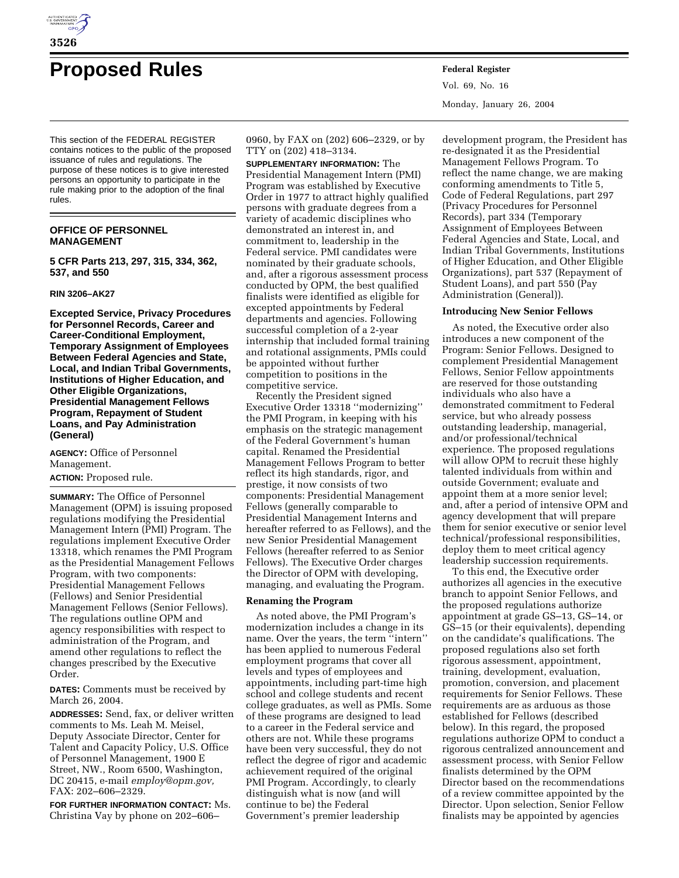

# **Proposed Rules Federal Register**

This section of the FEDERAL REGISTER contains notices to the public of the proposed issuance of rules and regulations. The purpose of these notices is to give interested persons an opportunity to participate in the rule making prior to the adoption of the final rules.

# **OFFICE OF PERSONNEL MANAGEMENT**

**5 CFR Parts 213, 297, 315, 334, 362, 537, and 550** 

## **RIN 3206–AK27**

**Excepted Service, Privacy Procedures for Personnel Records, Career and Career-Conditional Employment, Temporary Assignment of Employees Between Federal Agencies and State, Local, and Indian Tribal Governments, Institutions of Higher Education, and Other Eligible Organizations, Presidential Management Fellows Program, Repayment of Student Loans, and Pay Administration (General)**

**AGENCY:** Office of Personnel Management.

**ACTION:** Proposed rule.

**SUMMARY:** The Office of Personnel Management (OPM) is issuing proposed regulations modifying the Presidential Management Intern (PMI) Program. The regulations implement Executive Order 13318, which renames the PMI Program as the Presidential Management Fellows Program, with two components: Presidential Management Fellows (Fellows) and Senior Presidential Management Fellows (Senior Fellows). The regulations outline OPM and agency responsibilities with respect to administration of the Program, and amend other regulations to reflect the changes prescribed by the Executive Order.

**DATES:** Comments must be received by March 26, 2004.

**ADDRESSES:** Send, fax, or deliver written comments to Ms. Leah M. Meisel, Deputy Associate Director, Center for Talent and Capacity Policy, U.S. Office of Personnel Management, 1900 E Street, NW., Room 6500, Washington, DC 20415, e-mail *employ@opm.gov,* FAX: 202–606–2329.

**FOR FURTHER INFORMATION CONTACT:** Ms. Christina Vay by phone on 202–606–

0960, by FAX on (202) 606–2329, or by TTY on (202) 418–3134.

**SUPPLEMENTARY INFORMATION:** The Presidential Management Intern (PMI) Program was established by Executive Order in 1977 to attract highly qualified persons with graduate degrees from a variety of academic disciplines who demonstrated an interest in, and commitment to, leadership in the Federal service. PMI candidates were nominated by their graduate schools, and, after a rigorous assessment process conducted by OPM, the best qualified finalists were identified as eligible for excepted appointments by Federal departments and agencies. Following successful completion of a 2-year internship that included formal training and rotational assignments, PMIs could be appointed without further competition to positions in the competitive service.

Recently the President signed Executive Order 13318 ''modernizing'' the PMI Program, in keeping with his emphasis on the strategic management of the Federal Government's human capital. Renamed the Presidential Management Fellows Program to better reflect its high standards, rigor, and prestige, it now consists of two components: Presidential Management Fellows (generally comparable to Presidential Management Interns and hereafter referred to as Fellows), and the new Senior Presidential Management Fellows (hereafter referred to as Senior Fellows). The Executive Order charges the Director of OPM with developing, managing, and evaluating the Program.

# **Renaming the Program**

As noted above, the PMI Program's modernization includes a change in its name. Over the years, the term "intern" has been applied to numerous Federal employment programs that cover all levels and types of employees and appointments, including part-time high school and college students and recent college graduates, as well as PMIs. Some of these programs are designed to lead to a career in the Federal service and others are not. While these programs have been very successful, they do not reflect the degree of rigor and academic achievement required of the original PMI Program. Accordingly, to clearly distinguish what is now (and will continue to be) the Federal Government's premier leadership

Vol. 69, No. 16 Monday, January 26, 2004

development program, the President has re-designated it as the Presidential Management Fellows Program. To reflect the name change, we are making conforming amendments to Title 5, Code of Federal Regulations, part 297 (Privacy Procedures for Personnel Records), part 334 (Temporary Assignment of Employees Between Federal Agencies and State, Local, and Indian Tribal Governments, Institutions of Higher Education, and Other Eligible Organizations), part 537 (Repayment of Student Loans), and part 550 (Pay Administration (General)).

# **Introducing New Senior Fellows**

As noted, the Executive order also introduces a new component of the Program: Senior Fellows. Designed to complement Presidential Management Fellows, Senior Fellow appointments are reserved for those outstanding individuals who also have a demonstrated commitment to Federal service, but who already possess outstanding leadership, managerial, and/or professional/technical experience. The proposed regulations will allow OPM to recruit these highly talented individuals from within and outside Government; evaluate and appoint them at a more senior level; and, after a period of intensive OPM and agency development that will prepare them for senior executive or senior level technical/professional responsibilities, deploy them to meet critical agency leadership succession requirements.

To this end, the Executive order authorizes all agencies in the executive branch to appoint Senior Fellows, and the proposed regulations authorize appointment at grade GS–13, GS–14, or GS–15 (or their equivalents), depending on the candidate's qualifications. The proposed regulations also set forth rigorous assessment, appointment, training, development, evaluation, promotion, conversion, and placement requirements for Senior Fellows. These requirements are as arduous as those established for Fellows (described below). In this regard, the proposed regulations authorize OPM to conduct a rigorous centralized announcement and assessment process, with Senior Fellow finalists determined by the OPM Director based on the recommendations of a review committee appointed by the Director. Upon selection, Senior Fellow finalists may be appointed by agencies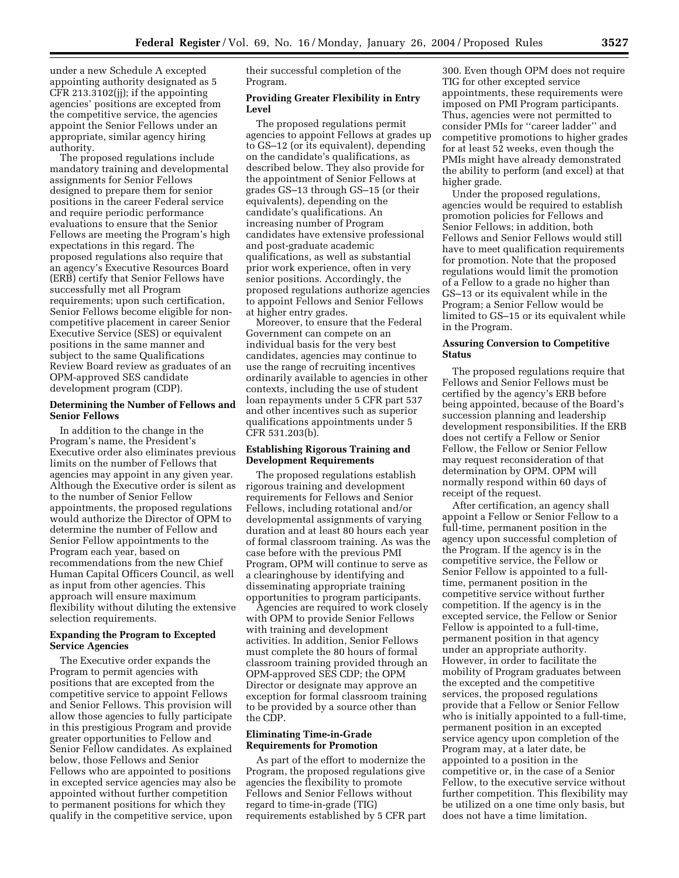under a new Schedule A excepted appointing authority designated as 5 CFR 213.3102(jj); if the appointing agencies' positions are excepted from the competitive service, the agencies appoint the Senior Fellows under an appropriate, similar agency hiring authority.

The proposed regulations include mandatory training and developmental assignments for Senior Fellows designed to prepare them for senior positions in the career Federal service and require periodic performance evaluations to ensure that the Senior Fellows are meeting the Program's high expectations in this regard. The proposed regulations also require that an agency's Executive Resources Board (ERB) certify that Senior Fellows have successfully met all Program requirements; upon such certification, Senior Fellows become eligible for noncompetitive placement in career Senior Executive Service (SES) or equivalent positions in the same manner and subject to the same Qualifications Review Board review as graduates of an OPM-approved SES candidate development program (CDP).

# **Determining the Number of Fellows and Senior Fellows**

In addition to the change in the Program's name, the President's Executive order also eliminates previous limits on the number of Fellows that agencies may appoint in any given year. Although the Executive order is silent as to the number of Senior Fellow appointments, the proposed regulations would authorize the Director of OPM to determine the number of Fellow and Senior Fellow appointments to the Program each year, based on recommendations from the new Chief Human Capital Officers Council, as well as input from other agencies. This approach will ensure maximum flexibility without diluting the extensive selection requirements.

# **Expanding the Program to Excepted Service Agencies**

The Executive order expands the Program to permit agencies with positions that are excepted from the competitive service to appoint Fellows and Senior Fellows. This provision will allow those agencies to fully participate in this prestigious Program and provide greater opportunities to Fellow and Senior Fellow candidates. As explained below, those Fellows and Senior Fellows who are appointed to positions in excepted service agencies may also be appointed without further competition to permanent positions for which they qualify in the competitive service, upon

their successful completion of the Program.

# **Providing Greater Flexibility in Entry Level**

The proposed regulations permit agencies to appoint Fellows at grades up to GS–12 (or its equivalent), depending on the candidate's qualifications, as described below. They also provide for the appointment of Senior Fellows at grades GS–13 through GS–15 (or their equivalents), depending on the candidate's qualifications. An increasing number of Program candidates have extensive professional and post-graduate academic qualifications, as well as substantial prior work experience, often in very senior positions. Accordingly, the proposed regulations authorize agencies to appoint Fellows and Senior Fellows at higher entry grades.

Moreover, to ensure that the Federal Government can compete on an individual basis for the very best candidates, agencies may continue to use the range of recruiting incentives ordinarily available to agencies in other contexts, including the use of student loan repayments under 5 CFR part 537 and other incentives such as superior qualifications appointments under 5 CFR 531.203(b).

# **Establishing Rigorous Training and Development Requirements**

The proposed regulations establish rigorous training and development requirements for Fellows and Senior Fellows, including rotational and/or developmental assignments of varying duration and at least 80 hours each year of formal classroom training. As was the case before with the previous PMI Program, OPM will continue to serve as a clearinghouse by identifying and disseminating appropriate training opportunities to program participants.

Agencies are required to work closely with OPM to provide Senior Fellows with training and development activities. In addition, Senior Fellows must complete the 80 hours of formal classroom training provided through an OPM-approved SES CDP; the OPM Director or designate may approve an exception for formal classroom training to be provided by a source other than the CDP.

# **Eliminating Time-in-Grade Requirements for Promotion**

As part of the effort to modernize the Program, the proposed regulations give agencies the flexibility to promote Fellows and Senior Fellows without regard to time-in-grade (TIG) requirements established by 5 CFR part

300. Even though OPM does not require TIG for other excepted service appointments, these requirements were imposed on PMI Program participants. Thus, agencies were not permitted to consider PMIs for ''career ladder'' and competitive promotions to higher grades for at least 52 weeks, even though the PMIs might have already demonstrated the ability to perform (and excel) at that higher grade.

Under the proposed regulations, agencies would be required to establish promotion policies for Fellows and Senior Fellows; in addition, both Fellows and Senior Fellows would still have to meet qualification requirements for promotion. Note that the proposed regulations would limit the promotion of a Fellow to a grade no higher than GS–13 or its equivalent while in the Program; a Senior Fellow would be limited to GS–15 or its equivalent while in the Program.

# **Assuring Conversion to Competitive Status**

The proposed regulations require that Fellows and Senior Fellows must be certified by the agency's ERB before being appointed, because of the Board's succession planning and leadership development responsibilities. If the ERB does not certify a Fellow or Senior Fellow, the Fellow or Senior Fellow may request reconsideration of that determination by OPM. OPM will normally respond within 60 days of receipt of the request.

After certification, an agency shall appoint a Fellow or Senior Fellow to a full-time, permanent position in the agency upon successful completion of the Program. If the agency is in the competitive service, the Fellow or Senior Fellow is appointed to a fulltime, permanent position in the competitive service without further competition. If the agency is in the excepted service, the Fellow or Senior Fellow is appointed to a full-time, permanent position in that agency under an appropriate authority. However, in order to facilitate the mobility of Program graduates between the excepted and the competitive services, the proposed regulations provide that a Fellow or Senior Fellow who is initially appointed to a full-time, permanent position in an excepted service agency upon completion of the Program may, at a later date, be appointed to a position in the competitive or, in the case of a Senior Fellow, to the executive service without further competition. This flexibility may be utilized on a one time only basis, but does not have a time limitation.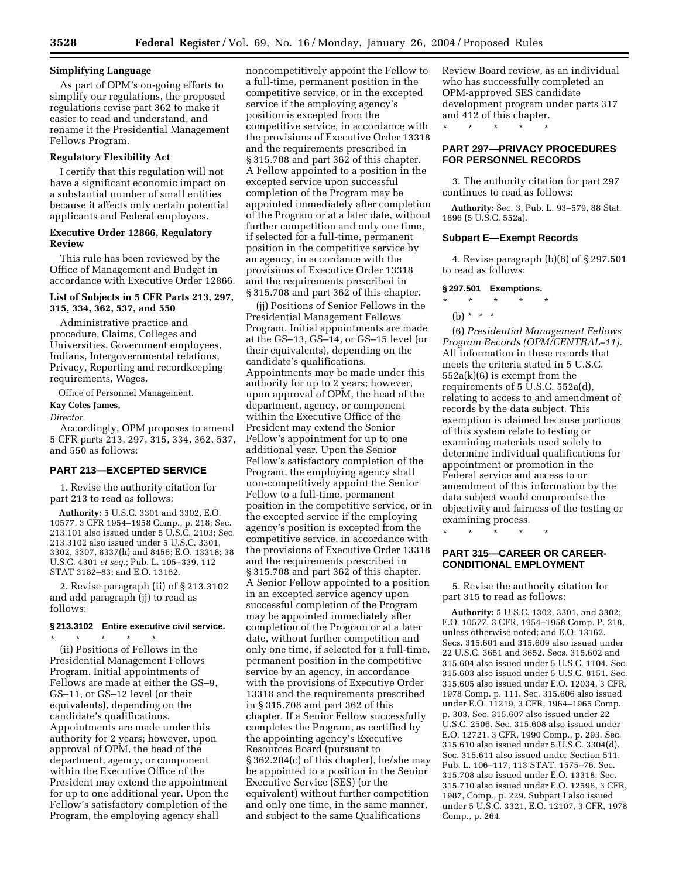# **Simplifying Language**

As part of OPM's on-going efforts to simplify our regulations, the proposed regulations revise part 362 to make it easier to read and understand, and rename it the Presidential Management Fellows Program.

# **Regulatory Flexibility Act**

I certify that this regulation will not have a significant economic impact on a substantial number of small entities because it affects only certain potential applicants and Federal employees.

## **Executive Order 12866, Regulatory Review**

This rule has been reviewed by the Office of Management and Budget in accordance with Executive Order 12866.

# **List of Subjects in 5 CFR Parts 213, 297, 315, 334, 362, 537, and 550**

Administrative practice and procedure, Claims, Colleges and Universities, Government employees, Indians, Intergovernmental relations, Privacy, Reporting and recordkeeping requirements, Wages.

Office of Personnel Management.

# **Kay Coles James,**

*Director.*

Accordingly, OPM proposes to amend 5 CFR parts 213, 297, 315, 334, 362, 537, and 550 as follows:

# **PART 213—EXCEPTED SERVICE**

1. Revise the authority citation for part 213 to read as follows:

**Authority:** 5 U.S.C. 3301 and 3302, E.O. 10577, 3 CFR 1954–1958 Comp., p. 218; Sec. 213.101 also issued under 5 U.S.C. 2103; Sec. 213.3102 also issued under 5 U.S.C. 3301, 3302, 3307, 8337(h) and 8456; E.O. 13318; 38 U.S.C. 4301 *et seq.*; Pub. L. 105–339, 112 STAT 3182–83; and E.O. 13162.

2. Revise paragraph (ii) of § 213.3102 and add paragraph (jj) to read as follows:

## **§ 213.3102 Entire executive civil service.**

\* \* \* \* \* (ii) Positions of Fellows in the Presidential Management Fellows Program. Initial appointments of Fellows are made at either the GS–9, GS–11, or GS–12 level (or their equivalents), depending on the candidate's qualifications. Appointments are made under this authority for 2 years; however, upon approval of OPM, the head of the department, agency, or component within the Executive Office of the President may extend the appointment for up to one additional year. Upon the Fellow's satisfactory completion of the Program, the employing agency shall

noncompetitively appoint the Fellow to a full-time, permanent position in the competitive service, or in the excepted service if the employing agency's position is excepted from the competitive service, in accordance with the provisions of Executive Order 13318 and the requirements prescribed in § 315.708 and part 362 of this chapter. A Fellow appointed to a position in the excepted service upon successful completion of the Program may be appointed immediately after completion of the Program or at a later date, without further competition and only one time, if selected for a full-time, permanent position in the competitive service by an agency, in accordance with the provisions of Executive Order 13318 and the requirements prescribed in § 315.708 and part 362 of this chapter.

(jj) Positions of Senior Fellows in the Presidential Management Fellows Program. Initial appointments are made at the GS–13, GS–14, or GS–15 level (or their equivalents), depending on the candidate's qualifications. Appointments may be made under this authority for up to 2 years; however, upon approval of OPM, the head of the department, agency, or component within the Executive Office of the President may extend the Senior Fellow's appointment for up to one additional year. Upon the Senior Fellow's satisfactory completion of the Program, the employing agency shall non-competitively appoint the Senior Fellow to a full-time, permanent position in the competitive service, or in the excepted service if the employing agency's position is excepted from the competitive service, in accordance with the provisions of Executive Order 13318 and the requirements prescribed in § 315.708 and part 362 of this chapter. A Senior Fellow appointed to a position in an excepted service agency upon successful completion of the Program may be appointed immediately after completion of the Program or at a later date, without further competition and only one time, if selected for a full-time, permanent position in the competitive service by an agency, in accordance with the provisions of Executive Order 13318 and the requirements prescribed in § 315.708 and part 362 of this chapter. If a Senior Fellow successfully completes the Program, as certified by the appointing agency's Executive Resources Board (pursuant to § 362.204(c) of this chapter), he/she may be appointed to a position in the Senior Executive Service (SES) (or the equivalent) without further competition and only one time, in the same manner, and subject to the same Qualifications

Review Board review, as an individual who has successfully completed an OPM-approved SES candidate development program under parts 317 and 412 of this chapter.

\* \* \* \* \*

# **PART 297—PRIVACY PROCEDURES FOR PERSONNEL RECORDS**

3. The authority citation for part 297 continues to read as follows:

**Authority:** Sec. 3, Pub. L. 93–579, 88 Stat. 1896 (5 U.S.C. 552a).

## **Subpart E—Exempt Records**

4. Revise paragraph (b)(6) of § 297.501 to read as follows:

#### **§ 297.501 Exemptions.**

- \* \* \* \* \*
- (b)  $* * * *$

(6) *Presidential Management Fellows Program Records (OPM/CENTRAL–11).* All information in these records that meets the criteria stated in 5 U.S.C. 552a(k)(6) is exempt from the requirements of 5 U.S.C. 552a(d), relating to access to and amendment of records by the data subject. This exemption is claimed because portions of this system relate to testing or examining materials used solely to determine individual qualifications for appointment or promotion in the Federal service and access to or amendment of this information by the data subject would compromise the objectivity and fairness of the testing or examining process.

# \* \* \* \* \*

# **PART 315—CAREER OR CAREER-CONDITIONAL EMPLOYMENT**

5. Revise the authority citation for part 315 to read as follows:

**Authority:** 5 U.S.C. 1302, 3301, and 3302; E.O. 10577. 3 CFR, 1954–1958 Comp. P. 218, unless otherwise noted; and E.O. 13162. Secs. 315.601 and 315.609 also issued under 22 U.S.C. 3651 and 3652. Secs. 315.602 and 315.604 also issued under 5 U.S.C. 1104. Sec. 315.603 also issued under 5 U.S.C. 8151. Sec. 315.605 also issued under E.O. 12034, 3 CFR, 1978 Comp. p. 111. Sec. 315.606 also issued under E.O. 11219, 3 CFR, 1964–1965 Comp. p. 303. Sec. 315.607 also issued under 22 U.S.C. 2506. Sec. 315.608 also issued under E.O. 12721, 3 CFR, 1990 Comp., p. 293. Sec. 315.610 also issued under 5 U.S.C. 3304(d). Sec. 315.611 also issued under Section 511, Pub. L. 106–117, 113 STAT. 1575–76. Sec. 315.708 also issued under E.O. 13318. Sec. 315.710 also issued under E.O. 12596, 3 CFR, 1987, Comp., p. 229. Subpart I also issued under 5 U.S.C. 3321, E.O. 12107, 3 CFR, 1978 Comp., p. 264.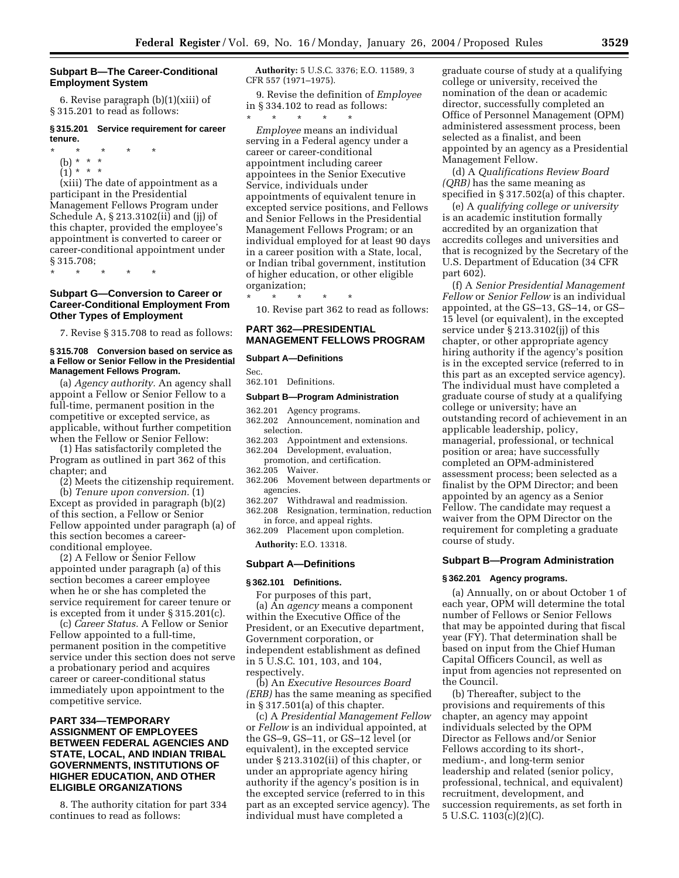# **Subpart B—The Career-Conditional Employment System**

6. Revise paragraph (b)(1)(xiii) of § 315.201 to read as follows:

## **§ 315.201 Service requirement for career tenure.**

\* \* \* \* \*

- (b) \* \* \*
- $(1) * * * *$

(xiii) The date of appointment as a participant in the Presidential Management Fellows Program under Schedule A, § 213.3102(ii) and (jj) of this chapter, provided the employee's appointment is converted to career or career-conditional appointment under § 315.708;

\* \* \* \* \*

# **Subpart G—Conversion to Career or Career-Conditional Employment From Other Types of Employment**

7. Revise § 315.708 to read as follows:

## **§ 315.708 Conversion based on service as a Fellow or Senior Fellow in the Presidential Management Fellows Program.**

(a) *Agency authority.* An agency shall appoint a Fellow or Senior Fellow to a full-time, permanent position in the competitive or excepted service, as applicable, without further competition when the Fellow or Senior Fellow:

(1) Has satisfactorily completed the Program as outlined in part 362 of this chapter; and

(2) Meets the citizenship requirement.

(b) *Tenure upon conversion.* (1) Except as provided in paragraph (b)(2) of this section, a Fellow or Senior Fellow appointed under paragraph (a) of this section becomes a careerconditional employee.

(2) A Fellow or Senior Fellow appointed under paragraph (a) of this section becomes a career employee when he or she has completed the service requirement for career tenure or is excepted from it under § 315.201(c).

(c) *Career Status.* A Fellow or Senior Fellow appointed to a full-time, permanent position in the competitive service under this section does not serve a probationary period and acquires career or career-conditional status immediately upon appointment to the competitive service.

# **PART 334—TEMPORARY ASSIGNMENT OF EMPLOYEES BETWEEN FEDERAL AGENCIES AND STATE, LOCAL, AND INDIAN TRIBAL GOVERNMENTS, INSTITUTIONS OF HIGHER EDUCATION, AND OTHER ELIGIBLE ORGANIZATIONS**

8. The authority citation for part 334 continues to read as follows:

**Authority:** 5 U.S.C. 3376; E.O. 11589, 3 CFR 557 (1971–1975).

9. Revise the definition of *Employee* in § 334.102 to read as follows: \* \* \* \* \*

*Employee* means an individual serving in a Federal agency under a career or career-conditional appointment including career appointees in the Senior Executive Service, individuals under appointments of equivalent tenure in excepted service positions, and Fellows and Senior Fellows in the Presidential Management Fellows Program; or an individual employed for at least 90 days in a career position with a State, local, or Indian tribal government, institution of higher education, or other eligible organization;

\* \* \* \* \* 10. Revise part 362 to read as follows:

# **PART 362—PRESIDENTIAL MANAGEMENT FELLOWS PROGRAM**

## **Subpart A—Definitions**

Sec. 362.101 Definitions.

# **Subpart B—Program Administration**

- 362.201 Agency programs.
- 362.202 Announcement, nomination and selection.<br>362.203 Apr
- 362.203 Appointment and extensions.
- Development, evaluation,
- promotion, and certification.<br>205 Waiver.
- 362.205<br>362.206 362.206 Movement between departments or
- agencies.<br>362.207 Wit Withdrawal and readmission.
- 362.208 Resignation, termination, reduction in force, and appeal rights.
- 362.209 Placement upon completion.

**Authority:** E.O. 13318.

#### **Subpart A—Definitions**

#### **§ 362.101 Definitions.**

For purposes of this part, (a) An *agency* means a component within the Executive Office of the President, or an Executive department, Government corporation, or independent establishment as defined in 5 U.S.C. 101, 103, and 104, respectively.

(b) An *Executive Resources Board (ERB)* has the same meaning as specified in § 317.501(a) of this chapter.

(c) A *Presidential Management Fellow* or *Fellow* is an individual appointed, at the GS–9, GS–11, or GS–12 level (or equivalent), in the excepted service under § 213.3102(ii) of this chapter, or under an appropriate agency hiring authority if the agency's position is in the excepted service (referred to in this part as an excepted service agency). The individual must have completed a

graduate course of study at a qualifying college or university, received the nomination of the dean or academic director, successfully completed an Office of Personnel Management (OPM) administered assessment process, been selected as a finalist, and been appointed by an agency as a Presidential Management Fellow.

(d) A *Qualifications Review Board (QRB)* has the same meaning as specified in § 317.502(a) of this chapter.

(e) A *qualifying college or university* is an academic institution formally accredited by an organization that accredits colleges and universities and that is recognized by the Secretary of the U.S. Department of Education (34 CFR part 602).

(f) A *Senior Presidential Management Fellow* or *Senior Fellow* is an individual appointed, at the GS–13, GS–14, or GS– 15 level (or equivalent), in the excepted service under § 213.3102(jj) of this chapter, or other appropriate agency hiring authority if the agency's position is in the excepted service (referred to in this part as an excepted service agency). The individual must have completed a graduate course of study at a qualifying college or university; have an outstanding record of achievement in an applicable leadership, policy, managerial, professional, or technical position or area; have successfully completed an OPM-administered assessment process; been selected as a finalist by the OPM Director; and been appointed by an agency as a Senior Fellow. The candidate may request a waiver from the OPM Director on the requirement for completing a graduate course of study.

## **Subpart B—Program Administration**

#### **§ 362.201 Agency programs.**

(a) Annually, on or about October 1 of each year, OPM will determine the total number of Fellows or Senior Fellows that may be appointed during that fiscal year (FY). That determination shall be based on input from the Chief Human Capital Officers Council, as well as input from agencies not represented on the Council.

(b) Thereafter, subject to the provisions and requirements of this chapter, an agency may appoint individuals selected by the OPM Director as Fellows and/or Senior Fellows according to its short-, medium-, and long-term senior leadership and related (senior policy, professional, technical, and equivalent) recruitment, development, and succession requirements, as set forth in 5 U.S.C. 1103(c)(2)(C).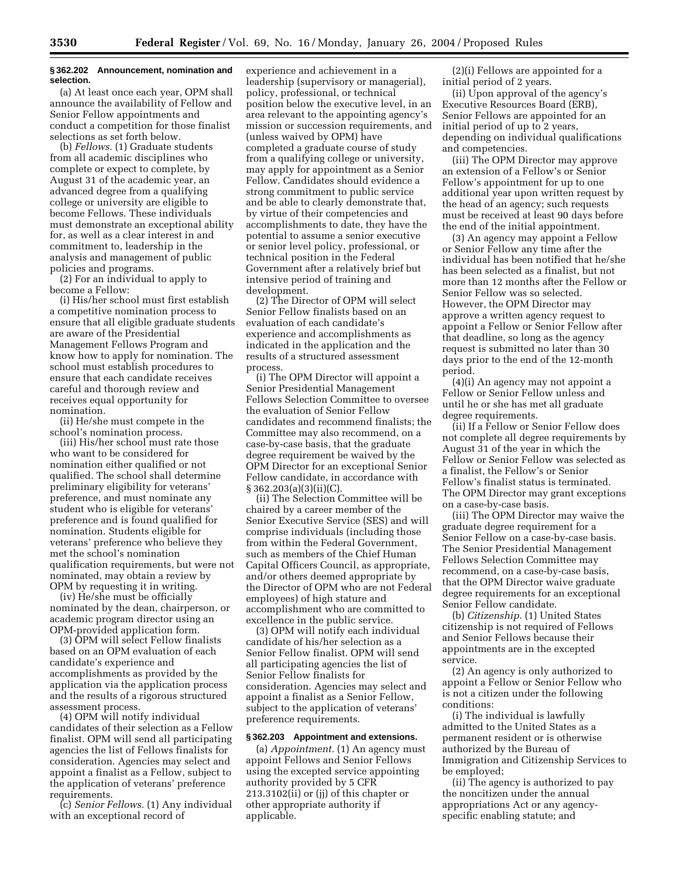# **§ 362.202 Announcement, nomination and selection.**

(a) At least once each year, OPM shall announce the availability of Fellow and Senior Fellow appointments and conduct a competition for those finalist selections as set forth below.

(b) *Fellows.* (1) Graduate students from all academic disciplines who complete or expect to complete, by August 31 of the academic year, an advanced degree from a qualifying college or university are eligible to become Fellows. These individuals must demonstrate an exceptional ability for, as well as a clear interest in and commitment to, leadership in the analysis and management of public policies and programs.

(2) For an individual to apply to become a Fellow:

(i) His/her school must first establish a competitive nomination process to ensure that all eligible graduate students are aware of the Presidential Management Fellows Program and know how to apply for nomination. The school must establish procedures to ensure that each candidate receives careful and thorough review and receives equal opportunity for nomination.

(ii) He/she must compete in the school's nomination process.

(iii) His/her school must rate those who want to be considered for nomination either qualified or not qualified. The school shall determine preliminary eligibility for veterans' preference, and must nominate any student who is eligible for veterans' preference and is found qualified for nomination. Students eligible for veterans' preference who believe they met the school's nomination qualification requirements, but were not nominated, may obtain a review by OPM by requesting it in writing.

(iv) He/she must be officially nominated by the dean, chairperson, or academic program director using an OPM-provided application form.

(3) OPM will select Fellow finalists based on an OPM evaluation of each candidate's experience and accomplishments as provided by the application via the application process and the results of a rigorous structured assessment process.

(4) OPM will notify individual candidates of their selection as a Fellow finalist. OPM will send all participating agencies the list of Fellows finalists for consideration. Agencies may select and appoint a finalist as a Fellow, subject to the application of veterans' preference requirements.

(c) *Senior Fellows.* (1) Any individual with an exceptional record of

experience and achievement in a leadership (supervisory or managerial), policy, professional, or technical position below the executive level, in an area relevant to the appointing agency's mission or succession requirements, and (unless waived by OPM) have completed a graduate course of study from a qualifying college or university, may apply for appointment as a Senior Fellow. Candidates should evidence a strong commitment to public service and be able to clearly demonstrate that, by virtue of their competencies and accomplishments to date, they have the potential to assume a senior executive or senior level policy, professional, or technical position in the Federal Government after a relatively brief but intensive period of training and development.

(2) The Director of OPM will select Senior Fellow finalists based on an evaluation of each candidate's experience and accomplishments as indicated in the application and the results of a structured assessment process.

(i) The OPM Director will appoint a Senior Presidential Management Fellows Selection Committee to oversee the evaluation of Senior Fellow candidates and recommend finalists; the Committee may also recommend, on a case-by-case basis, that the graduate degree requirement be waived by the OPM Director for an exceptional Senior Fellow candidate, in accordance with § 362.203(a)(3)(ii)(C).

(ii) The Selection Committee will be chaired by a career member of the Senior Executive Service (SES) and will comprise individuals (including those from within the Federal Government, such as members of the Chief Human Capital Officers Council, as appropriate, and/or others deemed appropriate by the Director of OPM who are not Federal employees) of high stature and accomplishment who are committed to excellence in the public service.

(3) OPM will notify each individual candidate of his/her selection as a Senior Fellow finalist. OPM will send all participating agencies the list of Senior Fellow finalists for consideration. Agencies may select and appoint a finalist as a Senior Fellow, subject to the application of veterans' preference requirements.

## **§ 362.203 Appointment and extensions.**

(a) *Appointment.* (1) An agency must appoint Fellows and Senior Fellows using the excepted service appointing authority provided by 5 CFR 213.3102(ii) or (jj) of this chapter or other appropriate authority if applicable.

(2)(i) Fellows are appointed for a initial period of 2 years.

(ii) Upon approval of the agency's Executive Resources Board (ERB), Senior Fellows are appointed for an initial period of up to 2 years, depending on individual qualifications and competencies.

(iii) The OPM Director may approve an extension of a Fellow's or Senior Fellow's appointment for up to one additional year upon written request by the head of an agency; such requests must be received at least 90 days before the end of the initial appointment.

(3) An agency may appoint a Fellow or Senior Fellow any time after the individual has been notified that he/she has been selected as a finalist, but not more than 12 months after the Fellow or Senior Fellow was so selected. However, the OPM Director may approve a written agency request to appoint a Fellow or Senior Fellow after that deadline, so long as the agency request is submitted no later than 30 days prior to the end of the 12-month period.

(4)(i) An agency may not appoint a Fellow or Senior Fellow unless and until he or she has met all graduate degree requirements.

(ii) If a Fellow or Senior Fellow does not complete all degree requirements by August 31 of the year in which the Fellow or Senior Fellow was selected as a finalist, the Fellow's or Senior Fellow's finalist status is terminated. The OPM Director may grant exceptions on a case-by-case basis.

(iii) The OPM Director may waive the graduate degree requirement for a Senior Fellow on a case-by-case basis. The Senior Presidential Management Fellows Selection Committee may recommend, on a case-by-case basis, that the OPM Director waive graduate degree requirements for an exceptional Senior Fellow candidate.

(b) *Citizenship.* (1) United States citizenship is not required of Fellows and Senior Fellows because their appointments are in the excepted service.

(2) An agency is only authorized to appoint a Fellow or Senior Fellow who is not a citizen under the following conditions:

(i) The individual is lawfully admitted to the United States as a permanent resident or is otherwise authorized by the Bureau of Immigration and Citizenship Services to be employed;

(ii) The agency is authorized to pay the noncitizen under the annual appropriations Act or any agencyspecific enabling statute; and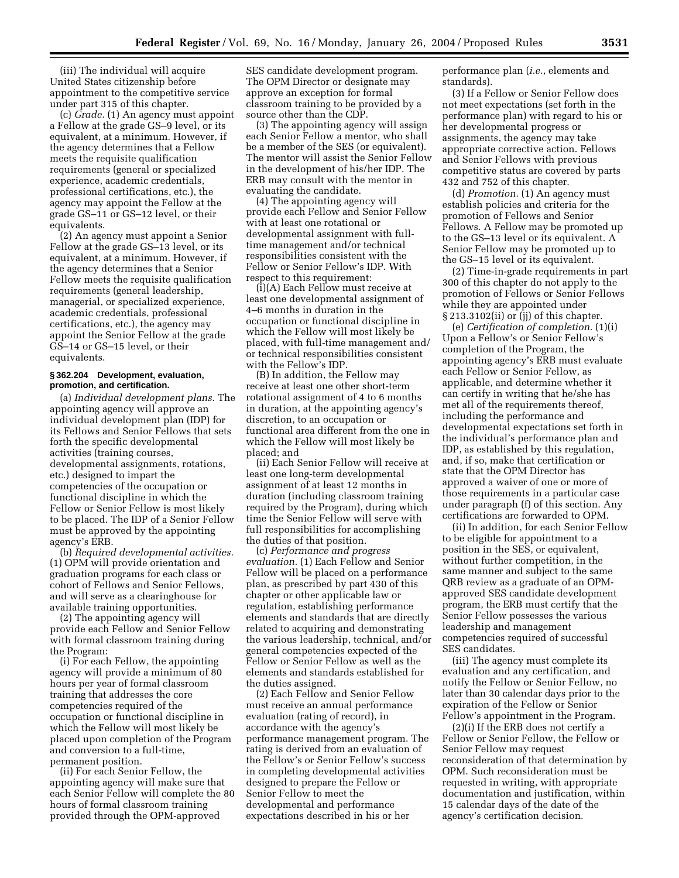(iii) The individual will acquire United States citizenship before appointment to the competitive service under part 315 of this chapter.

(c) *Grade.* (1) An agency must appoint a Fellow at the grade GS–9 level, or its equivalent, at a minimum. However, if the agency determines that a Fellow meets the requisite qualification requirements (general or specialized experience, academic credentials, professional certifications, etc.), the agency may appoint the Fellow at the grade GS–11 or GS–12 level, or their equivalents.

(2) An agency must appoint a Senior Fellow at the grade GS–13 level, or its equivalent, at a minimum. However, if the agency determines that a Senior Fellow meets the requisite qualification requirements (general leadership, managerial, or specialized experience, academic credentials, professional certifications, etc.), the agency may appoint the Senior Fellow at the grade GS–14 or GS–15 level, or their equivalents.

# **§ 362.204 Development, evaluation, promotion, and certification.**

(a) *Individual development plans.* The appointing agency will approve an individual development plan (IDP) for its Fellows and Senior Fellows that sets forth the specific developmental activities (training courses, developmental assignments, rotations, etc.) designed to impart the competencies of the occupation or functional discipline in which the Fellow or Senior Fellow is most likely to be placed. The IDP of a Senior Fellow must be approved by the appointing agency's ERB.

(b) *Required developmental activities.* (1) OPM will provide orientation and graduation programs for each class or cohort of Fellows and Senior Fellows, and will serve as a clearinghouse for available training opportunities.

(2) The appointing agency will provide each Fellow and Senior Fellow with formal classroom training during the Program:

(i) For each Fellow, the appointing agency will provide a minimum of 80 hours per year of formal classroom training that addresses the core competencies required of the occupation or functional discipline in which the Fellow will most likely be placed upon completion of the Program and conversion to a full-time, permanent position.

(ii) For each Senior Fellow, the appointing agency will make sure that each Senior Fellow will complete the 80 hours of formal classroom training provided through the OPM-approved

SES candidate development program. The OPM Director or designate may approve an exception for formal classroom training to be provided by a source other than the CDP.

(3) The appointing agency will assign each Senior Fellow a mentor, who shall be a member of the SES (or equivalent). The mentor will assist the Senior Fellow in the development of his/her IDP. The ERB may consult with the mentor in evaluating the candidate.

(4) The appointing agency will provide each Fellow and Senior Fellow with at least one rotational or developmental assignment with fulltime management and/or technical responsibilities consistent with the Fellow or Senior Fellow's IDP. With respect to this requirement:

(i)(A) Each Fellow must receive at least one developmental assignment of 4–6 months in duration in the occupation or functional discipline in which the Fellow will most likely be placed, with full-time management and/ or technical responsibilities consistent with the Fellow's IDP.

(B) In addition, the Fellow may receive at least one other short-term rotational assignment of 4 to 6 months in duration, at the appointing agency's discretion, to an occupation or functional area different from the one in which the Fellow will most likely be placed; and

(ii) Each Senior Fellow will receive at least one long-term developmental assignment of at least 12 months in duration (including classroom training required by the Program), during which time the Senior Fellow will serve with full responsibilities for accomplishing the duties of that position.

(c) *Performance and progress evaluation.* (1) Each Fellow and Senior Fellow will be placed on a performance plan, as prescribed by part 430 of this chapter or other applicable law or regulation, establishing performance elements and standards that are directly related to acquiring and demonstrating the various leadership, technical, and/or general competencies expected of the Fellow or Senior Fellow as well as the elements and standards established for the duties assigned.

(2) Each Fellow and Senior Fellow must receive an annual performance evaluation (rating of record), in accordance with the agency's performance management program. The rating is derived from an evaluation of the Fellow's or Senior Fellow's success in completing developmental activities designed to prepare the Fellow or Senior Fellow to meet the developmental and performance expectations described in his or her

performance plan (*i.e.*, elements and standards).

(3) If a Fellow or Senior Fellow does not meet expectations (set forth in the performance plan) with regard to his or her developmental progress or assignments, the agency may take appropriate corrective action. Fellows and Senior Fellows with previous competitive status are covered by parts 432 and 752 of this chapter.

(d) *Promotion.* (1) An agency must establish policies and criteria for the promotion of Fellows and Senior Fellows. A Fellow may be promoted up to the GS–13 level or its equivalent. A Senior Fellow may be promoted up to the GS–15 level or its equivalent.

(2) Time-in-grade requirements in part 300 of this chapter do not apply to the promotion of Fellows or Senior Fellows while they are appointed under § 213.3102(ii) or (jj) of this chapter.

(e) *Certification of completion.* (1)(i) Upon a Fellow's or Senior Fellow's completion of the Program, the appointing agency's ERB must evaluate each Fellow or Senior Fellow, as applicable, and determine whether it can certify in writing that he/she has met all of the requirements thereof, including the performance and developmental expectations set forth in the individual's performance plan and IDP, as established by this regulation, and, if so, make that certification or state that the OPM Director has approved a waiver of one or more of those requirements in a particular case under paragraph (f) of this section. Any certifications are forwarded to OPM.

(ii) In addition, for each Senior Fellow to be eligible for appointment to a position in the SES, or equivalent, without further competition, in the same manner and subject to the same QRB review as a graduate of an OPMapproved SES candidate development program, the ERB must certify that the Senior Fellow possesses the various leadership and management competencies required of successful SES candidates.

(iii) The agency must complete its evaluation and any certification, and notify the Fellow or Senior Fellow, no later than 30 calendar days prior to the expiration of the Fellow or Senior Fellow's appointment in the Program.

(2)(i) If the ERB does not certify a Fellow or Senior Fellow, the Fellow or Senior Fellow may request reconsideration of that determination by OPM. Such reconsideration must be requested in writing, with appropriate documentation and justification, within 15 calendar days of the date of the agency's certification decision.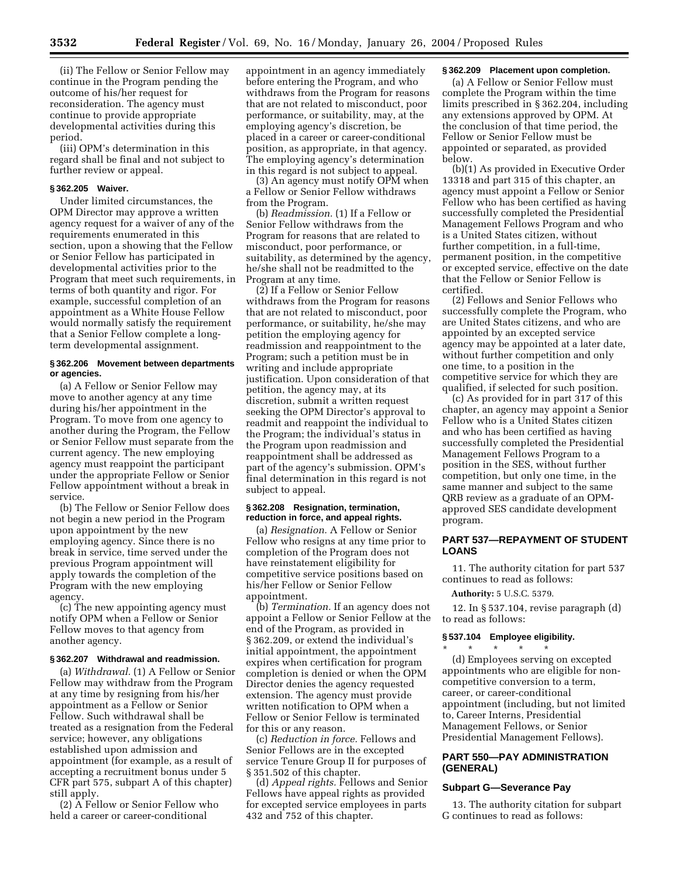(ii) The Fellow or Senior Fellow may continue in the Program pending the outcome of his/her request for reconsideration. The agency must continue to provide appropriate developmental activities during this period.

(iii) OPM's determination in this regard shall be final and not subject to further review or appeal.

# **§ 362.205 Waiver.**

Under limited circumstances, the OPM Director may approve a written agency request for a waiver of any of the requirements enumerated in this section, upon a showing that the Fellow or Senior Fellow has participated in developmental activities prior to the Program that meet such requirements, in terms of both quantity and rigor. For example, successful completion of an appointment as a White House Fellow would normally satisfy the requirement that a Senior Fellow complete a longterm developmental assignment.

# **§ 362.206 Movement between departments or agencies.**

(a) A Fellow or Senior Fellow may move to another agency at any time during his/her appointment in the Program. To move from one agency to another during the Program, the Fellow or Senior Fellow must separate from the current agency. The new employing agency must reappoint the participant under the appropriate Fellow or Senior Fellow appointment without a break in service.

(b) The Fellow or Senior Fellow does not begin a new period in the Program upon appointment by the new employing agency. Since there is no break in service, time served under the previous Program appointment will apply towards the completion of the Program with the new employing agency.

(c) The new appointing agency must notify OPM when a Fellow or Senior Fellow moves to that agency from another agency.

## **§ 362.207 Withdrawal and readmission.**

(a) *Withdrawal.* (1) A Fellow or Senior Fellow may withdraw from the Program at any time by resigning from his/her appointment as a Fellow or Senior Fellow. Such withdrawal shall be treated as a resignation from the Federal service; however, any obligations established upon admission and appointment (for example, as a result of accepting a recruitment bonus under 5 CFR part 575, subpart A of this chapter) still apply.

(2) A Fellow or Senior Fellow who held a career or career-conditional

appointment in an agency immediately before entering the Program, and who withdraws from the Program for reasons that are not related to misconduct, poor performance, or suitability, may, at the employing agency's discretion, be placed in a career or career-conditional position, as appropriate, in that agency. The employing agency's determination in this regard is not subject to appeal.

(3) An agency must notify OPM when a Fellow or Senior Fellow withdraws from the Program.

(b) *Readmission.* (1) If a Fellow or Senior Fellow withdraws from the Program for reasons that are related to misconduct, poor performance, or suitability, as determined by the agency, he/she shall not be readmitted to the Program at any time.

(2) If a Fellow or Senior Fellow withdraws from the Program for reasons that are not related to misconduct, poor performance, or suitability, he/she may petition the employing agency for readmission and reappointment to the Program; such a petition must be in writing and include appropriate justification. Upon consideration of that petition, the agency may, at its discretion, submit a written request seeking the OPM Director's approval to readmit and reappoint the individual to the Program; the individual's status in the Program upon readmission and reappointment shall be addressed as part of the agency's submission. OPM's final determination in this regard is not subject to appeal.

## **§ 362.208 Resignation, termination, reduction in force, and appeal rights.**

(a) *Resignation.* A Fellow or Senior Fellow who resigns at any time prior to completion of the Program does not have reinstatement eligibility for competitive service positions based on his/her Fellow or Senior Fellow appointment.

(b) *Termination.* If an agency does not appoint a Fellow or Senior Fellow at the end of the Program, as provided in § 362.209, or extend the individual's initial appointment, the appointment expires when certification for program completion is denied or when the OPM Director denies the agency requested extension. The agency must provide written notification to OPM when a Fellow or Senior Fellow is terminated for this or any reason.

(c) *Reduction in force.* Fellows and Senior Fellows are in the excepted service Tenure Group II for purposes of § 351.502 of this chapter.

(d) *Appeal rights.* Fellows and Senior Fellows have appeal rights as provided for excepted service employees in parts 432 and 752 of this chapter.

## **§ 362.209 Placement upon completion.**

(a) A Fellow or Senior Fellow must complete the Program within the time limits prescribed in § 362.204, including any extensions approved by OPM. At the conclusion of that time period, the Fellow or Senior Fellow must be appointed or separated, as provided below.

(b)(1) As provided in Executive Order 13318 and part 315 of this chapter, an agency must appoint a Fellow or Senior Fellow who has been certified as having successfully completed the Presidential Management Fellows Program and who is a United States citizen, without further competition, in a full-time, permanent position, in the competitive or excepted service, effective on the date that the Fellow or Senior Fellow is certified.

(2) Fellows and Senior Fellows who successfully complete the Program, who are United States citizens, and who are appointed by an excepted service agency may be appointed at a later date, without further competition and only one time, to a position in the competitive service for which they are qualified, if selected for such position.

(c) As provided for in part 317 of this chapter, an agency may appoint a Senior Fellow who is a United States citizen and who has been certified as having successfully completed the Presidential Management Fellows Program to a position in the SES, without further competition, but only one time, in the same manner and subject to the same QRB review as a graduate of an OPMapproved SES candidate development program.

# **PART 537—REPAYMENT OF STUDENT LOANS**

11. The authority citation for part 537 continues to read as follows:

#### **Authority:** 5 U.S.C. 5379.

12. In § 537.104, revise paragraph (d) to read as follows:

#### **§ 537.104 Employee eligibility.**

\* \* \* \* \* (d) Employees serving on excepted appointments who are eligible for noncompetitive conversion to a term, career, or career-conditional appointment (including, but not limited to, Career Interns, Presidential Management Fellows, or Senior Presidential Management Fellows).

# **PART 550—PAY ADMINISTRATION (GENERAL)**

# **Subpart G—Severance Pay**

13. The authority citation for subpart G continues to read as follows: